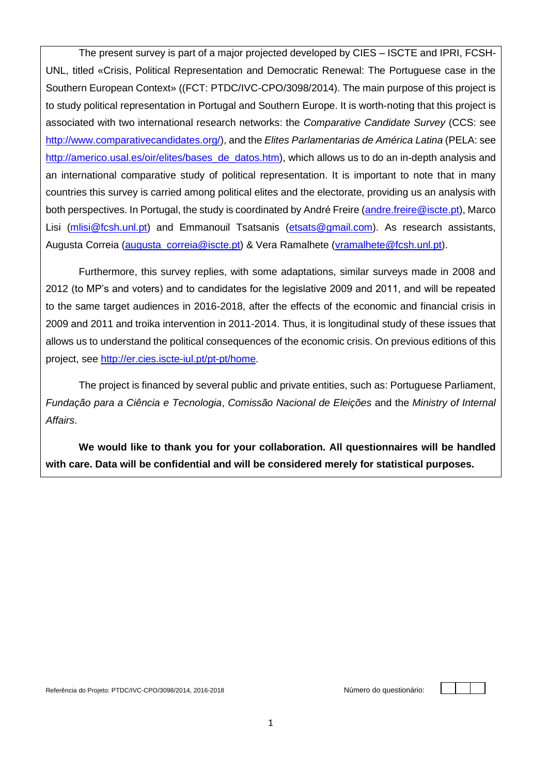The present survey is part of a major projected developed by CIES – ISCTE and IPRI, FCSH-UNL, titled «Crisis, Political Representation and Democratic Renewal: The Portuguese case in the Southern European Context» ((FCT: PTDC/IVC-CPO/3098/2014). The main purpose of this project is to study political representation in Portugal and Southern Europe. It is worth-noting that this project is associated with two international research networks: the *Comparative Candidate Survey* (CCS: see [http://www.comparativecandidates.org/\)](http://www.comparativecandidates.org/), and the *Elites Parlamentarias de América Latina* (PELA: see [http://americo.usal.es/oir/elites/bases\\_de\\_datos.htm\)](http://americo.usal.es/oir/elites/bases_de_datos.htm), which allows us to do an in-depth analysis and an international comparative study of political representation. It is important to note that in many countries this survey is carried among political elites and the electorate, providing us an analysis with both perspectives. In Portugal, the study is coordinated by André Freire [\(andre.freire@iscte.pt\)](mailto:andre.freire@iscte.pt), Marco Lisi [\(mlisi@fcsh.unl.pt\)](mailto:mlisi@fcsh.unl.pt) and Emmanouil Tsatsanis [\(etsats@gmail.com\)](mailto:etsats@gmail.com). As research assistants, Augusta Correia (augusta correia@iscte.pt) & Vera Ramalhete [\(vramalhete@fcsh.unl.pt\)](mailto:vramalhete@fcsh.unl.pt).

Furthermore, this survey replies, with some adaptations, similar surveys made in 2008 and 2012 (to MP's and voters) and to candidates for the legislative 2009 and 2011, and will be repeated to the same target audiences in 2016-2018, after the effects of the economic and financial crisis in 2009 and 2011 and troika intervention in 2011-2014. Thus, it is longitudinal study of these issues that allows us to understand the political consequences of the economic crisis. On previous editions of this project, see [http://er.cies.iscte-iul.pt/pt-pt/home.](http://er.cies.iscte-iul.pt/pt-pt/home)

The project is financed by several public and private entities, such as: Portuguese Parliament, *Fundação para a Ciência e Tecnologia*, *Comissão Nacional de Eleições* and the *Ministry of Internal Affairs*.

**We would like to thank you for your collaboration. All questionnaires will be handled with care. Data will be confidential and will be considered merely for statistical purposes.**

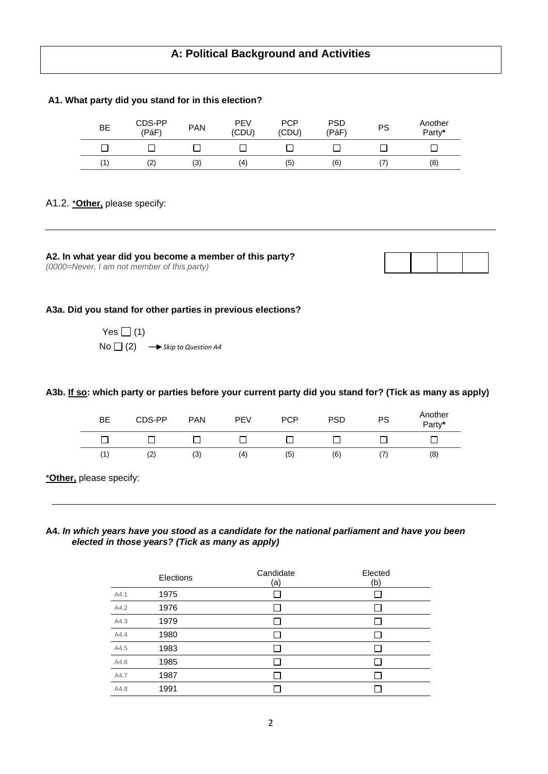# **A: Political Background and Activities**

#### **A1. What party did you stand for in this election?**

| BE | CDS-PP<br>(PáF) | <b>PAN</b> | <b>PEV</b><br>(CDU) | <b>PCP</b><br>(CDU) | <b>PSD</b><br>(PáF) | PS | Another<br>Party* |
|----|-----------------|------------|---------------------|---------------------|---------------------|----|-------------------|
|    |                 |            |                     |                     |                     |    |                   |
| (1 | (2)             | (3)        | (4)                 | (5)                 | (6)                 | 7  | (8)               |

#### A1.2. \***Other,** please specify:

**A2. In what year did you become a member of this party?** *(0000=Never, I am not member of this party)*



#### **A3a. Did you stand for other parties in previous elections?**

Yes  $\Box$  (1)  $No \Box (2) \longrightarrow$  Skip to Question A4

**A3b. If so: which party or parties before your current party did you stand for? (Tick as many as apply)**

| <b>BE</b> | CDS-PP | <b>PAN</b> | <b>PEV</b> | <b>PCP</b> | <b>PSD</b> | <b>PS</b>  | Another<br>Party* |
|-----------|--------|------------|------------|------------|------------|------------|-------------------|
|           |        |            |            |            |            |            |                   |
| (1)       | (2)    | (3)        | (4)        | (5)        | (6)        | $\sqrt{2}$ | (8)               |

\***Other,** please specify:

## **A4.** *In which years have you stood as a candidate for the national parliament and have you been elected in those years? (Tick as many as apply)*

|      | Elections | Candidate<br>(a) | Elected<br>(b) |
|------|-----------|------------------|----------------|
| A4.1 | 1975      |                  |                |
| A4.2 | 1976      |                  |                |
| A4.3 | 1979      |                  |                |
| A4.4 | 1980      |                  |                |
| A4.5 | 1983      |                  |                |
| A4.6 | 1985      |                  |                |
| A4.7 | 1987      |                  |                |
| A4.8 | 1991      |                  |                |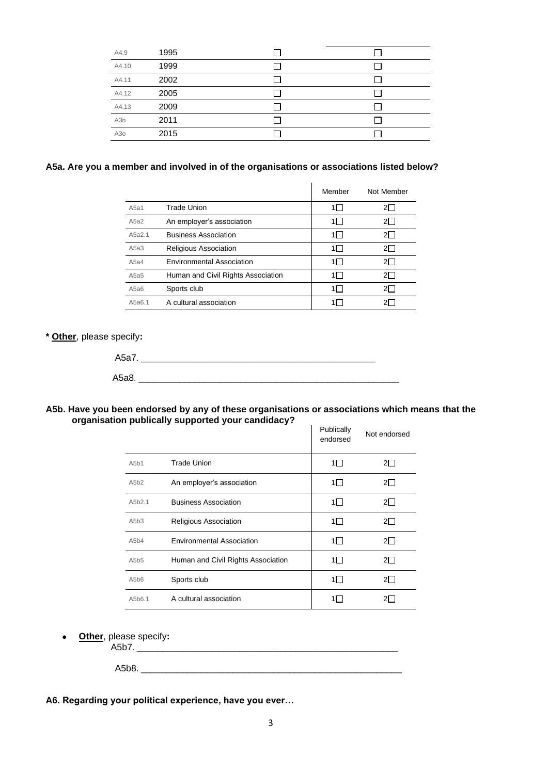| A4.9  | 1995 |  |
|-------|------|--|
| A4.10 | 1999 |  |
| A4.11 | 2002 |  |
| A4.12 | 2005 |  |
| A4.13 | 2009 |  |
| A3n   | 2011 |  |
| A3o   | 2015 |  |

# **A5a. Are you a member and involved in of the organisations or associations listed below?**

|        |                                    | Member  | Not Member |
|--------|------------------------------------|---------|------------|
| A5a1   | <b>Trade Union</b>                 | 1       |            |
| A5a2   | An employer's association          | 1 I     | 21.        |
| A5a2.1 | <b>Business Association</b>        | 1 I     | 2I -       |
| A5a3   | Religious Association              | $1\Box$ |            |
| A5a4   | <b>Environmental Association</b>   | $1\Box$ | 21.        |
| A5a5   | Human and Civil Rights Association | 1 I     | 21 I       |
| A5a6   | Sports club                        | 1 I     | 21.        |
| A5a6.1 | A cultural association             |         |            |

#### **\* Other**, please specify**:**

#### **A5b. Have you been endorsed by any of these organisations or associations which means that the organisation publically supported your candidacy?**

|        |                                    | Publically<br>endorsed | Not endorsed |
|--------|------------------------------------|------------------------|--------------|
| A5b1   | Trade Union                        | $1\Box$                | 21 I         |
| A5b2   | An employer's association          | $1\Box$                | $2\square$   |
| A5b2.1 | <b>Business Association</b>        | $1\Box$                | $2\Box$      |
| A5b3   | <b>Religious Association</b>       | $1\Box$                | $2\Box$      |
| A5b4   | <b>Environmental Association</b>   | $1\Box$                | $2\Box$      |
| A5b5   | Human and Civil Rights Association | $1\Box$                | $2\Box$      |
| A5b6   | Sports club                        | $1\Box$                | $2\Box$      |
| A5b6.1 | A cultural association             | 11.                    |              |

• **Other**, please specify**:**

A5b8. \_\_\_\_\_\_\_\_\_\_\_\_\_\_\_\_\_\_\_\_\_\_\_\_\_\_\_\_\_\_\_\_\_\_\_\_\_\_\_\_\_\_\_\_\_\_\_\_\_\_\_

**A6. Regarding your political experience, have you ever…**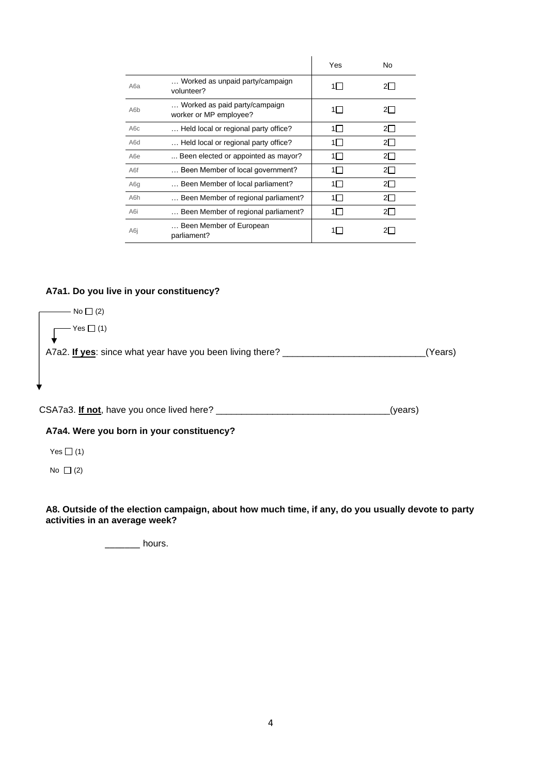|                  |                                                         | Yes     | <b>No</b> |
|------------------|---------------------------------------------------------|---------|-----------|
| A6a              | Worked as unpaid party/campaign<br>volunteer?           | $1\Box$ |           |
| A <sub>6</sub> b | Worked as paid party/campaign<br>worker or MP employee? | 1⊟      | 21.       |
| A6c              | Held local or regional party office?                    | 1∏      | $2\Box$   |
| A6d              | Held local or regional party office?                    | 1 I     | 21 I      |
| A <sub>6e</sub>  | Been elected or appointed as mayor?                     | $1\Box$ | 21 I      |
| A6f              | Been Member of local government?                        | 1∏      | $2\Box$   |
| A6q              | Been Member of local parliament?                        | 1 T     | $2\Box$   |
| A <sub>6</sub> h | Been Member of regional parliament?                     | 1 I     | 21 I      |
| A6i              | Been Member of regional parliament?                     | $1\Box$ | 2I I      |
| A6i              | Been Member of European<br>parliament?                  | 1 I     |           |

# **A7a1. Do you live in your constituency?**

| No $\Box$ (2)                                             |         |
|-----------------------------------------------------------|---------|
| $Yes \Box (1)$                                            |         |
| A7a2. If yes: since what year have you been living there? | (Years) |
|                                                           |         |
| ♥                                                         |         |
|                                                           |         |

CSA7a3. **If not**, have you once lived here? \_\_\_\_\_\_\_\_\_\_\_\_\_\_\_\_\_\_\_\_\_\_\_\_\_\_\_\_\_\_\_\_\_\_(years)

**A7a4. Were you born in your constituency?**

Yes  $\Box$  (1)

No  $\Box$  (2)

**A8. Outside of the election campaign, about how much time, if any, do you usually devote to party activities in an average week?**

\_\_\_\_\_\_\_ hours.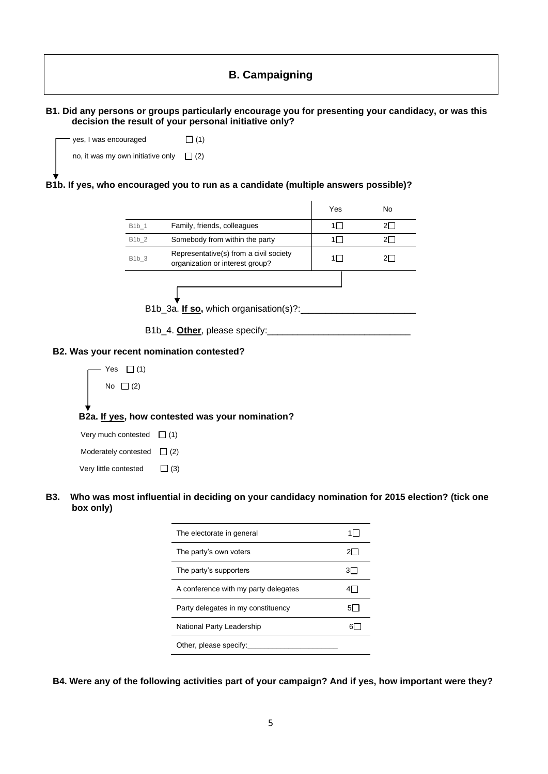# **B. Campaigning**

|                                                                                                                           | B1. Did any persons or groups particularly encourage you for presenting your candidacy, or was this<br>decision the result of your personal initiative only? |            |            |  |  |
|---------------------------------------------------------------------------------------------------------------------------|--------------------------------------------------------------------------------------------------------------------------------------------------------------|------------|------------|--|--|
| yes, I was encouraged                                                                                                     | $\Box$ (1)                                                                                                                                                   |            |            |  |  |
|                                                                                                                           | no, it was my own initiative only $\Box$ (2)                                                                                                                 |            |            |  |  |
|                                                                                                                           | B1b. If yes, who encouraged you to run as a candidate (multiple answers possible)?                                                                           |            |            |  |  |
|                                                                                                                           |                                                                                                                                                              | Yes        | No         |  |  |
| B1b_1                                                                                                                     | Family, friends, colleagues                                                                                                                                  | $1\Box$    | $2\square$ |  |  |
| $B1b_2$                                                                                                                   | Somebody from within the party                                                                                                                               | $1\Box$    | $2\square$ |  |  |
| $B1b_3$                                                                                                                   | Representative(s) from a civil society<br>organization or interest group?                                                                                    | $1\Box$    | $2\square$ |  |  |
|                                                                                                                           |                                                                                                                                                              |            |            |  |  |
|                                                                                                                           |                                                                                                                                                              |            |            |  |  |
|                                                                                                                           |                                                                                                                                                              |            |            |  |  |
|                                                                                                                           |                                                                                                                                                              |            |            |  |  |
|                                                                                                                           |                                                                                                                                                              |            |            |  |  |
| B2. Was your recent nomination contested?                                                                                 |                                                                                                                                                              |            |            |  |  |
| Yes $\Box$ (1)                                                                                                            |                                                                                                                                                              |            |            |  |  |
| No $\Box$ (2)                                                                                                             |                                                                                                                                                              |            |            |  |  |
|                                                                                                                           |                                                                                                                                                              |            |            |  |  |
|                                                                                                                           |                                                                                                                                                              |            |            |  |  |
|                                                                                                                           | B2a. If yes, how contested was your nomination?                                                                                                              |            |            |  |  |
| Very much contested $\Box$ (1)                                                                                            |                                                                                                                                                              |            |            |  |  |
| Moderately contested $\Box$ (2)                                                                                           |                                                                                                                                                              |            |            |  |  |
| Very little contested                                                                                                     | $\Box$ (3)                                                                                                                                                   |            |            |  |  |
|                                                                                                                           |                                                                                                                                                              |            |            |  |  |
| Who was most influential in deciding on your candidacy nomination for 2015 election? (tick one<br><b>B3.</b><br>box only) |                                                                                                                                                              |            |            |  |  |
|                                                                                                                           | The electorate in general                                                                                                                                    | $1\square$ |            |  |  |
|                                                                                                                           | The party's own voters                                                                                                                                       | $2\square$ |            |  |  |
|                                                                                                                           | The party's supporters                                                                                                                                       | $3\square$ |            |  |  |
|                                                                                                                           | A conference with my party delegates                                                                                                                         | $4\square$ |            |  |  |

Party delegates in my constituency 6 National Party Leadership 6 Other, please specify:

**B4. Were any of the following activities part of your campaign? And if yes, how important were they?**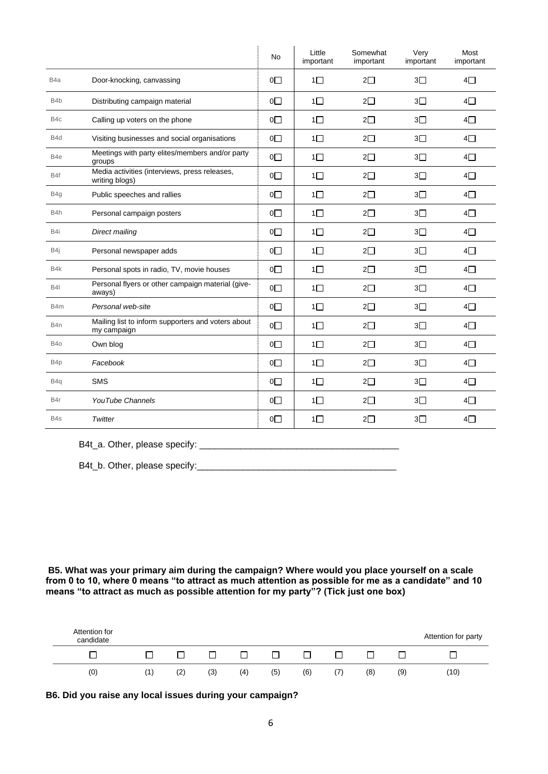|                  |                                                                   | <b>No</b>      | Little<br>important | Somewhat<br>important | Very<br>important | Most<br>important |
|------------------|-------------------------------------------------------------------|----------------|---------------------|-----------------------|-------------------|-------------------|
| B <sub>4</sub> a | Door-knocking, canvassing                                         | $0\square$     | $1\Box$             | $2\Box$               | 3 <sub>1</sub>    | $4\square$        |
| B <sub>4</sub> b | Distributing campaign material                                    | $0\square$     | $1\Box$             | $2\Box$               | $3\square$        | $4\square$        |
| B <sub>4</sub> c | Calling up voters on the phone                                    | $0\square$     | $1\Box$             | $2\square$            | 3 <sub>1</sub>    | $4\Box$           |
| B <sub>4</sub> d | Visiting businesses and social organisations                      | $0\square$     | $1\Box$             | $2\square$            | $3\square$        | $4\square$        |
| B <sub>4e</sub>  | Meetings with party elites/members and/or party<br>groups         | $0\square$     | $1\Box$             | $2\square$            | $3\square$        | $4\square$        |
| B4f              | Media activities (interviews, press releases,<br>writing blogs)   | $0\square$     | $1\Box$             | $2\square$            | $3\square$        | $4\square$        |
| B4g              | Public speeches and rallies                                       | $0\square$     | $1\Box$             | $2\square$            | $3\square$        | $4\square$        |
| B4h              | Personal campaign posters                                         | $0\square$     | $1\Box$             | $2\square$            | $3\square$        | $4\square$        |
| B4i              | Direct mailing                                                    | $0\square$     | $1\Box$             | $2\square$            | $3\square$        | $4\square$        |
| B4j              | Personal newspaper adds                                           | $0\square$     | $1\Box$             | $2\square$            | $3\square$        | $4\square$        |
| B4k              | Personal spots in radio, TV, movie houses                         | O <sub>1</sub> | $1\Box$             | $2\square$            | $3\square$        | $4\square$        |
| <b>B4I</b>       | Personal flyers or other campaign material (give-<br>aways)       | O <sub>1</sub> | $1\Box$             | $2\square$            | $3\square$        | $4\square$        |
| B4m              | Personal web-site                                                 | $0\square$     | $1\Box$             | $2\square$            | $3\square$        | $4\square$        |
| B4n              | Mailing list to inform supporters and voters about<br>my campaign | $0\square$     | $1\Box$             | $2\square$            | $3\square$        | $4\square$        |
| B <sub>40</sub>  | Own blog                                                          | O <sub>1</sub> | $1\Box$             | $2\square$            | $3\square$        | $4\square$        |
| B4p              | Facebook                                                          | O <sub>1</sub> | $1\Box$             | $2\square$            | 3 <sub>1</sub>    | $4\square$        |
| B <sub>4</sub> q | <b>SMS</b>                                                        | O <sub>1</sub> | $1\Box$             | $2\square$            | $3\square$        | $4\square$        |
| B4r              | YouTube Channels                                                  | $0\square$     | $1\Box$             | $2\square$            | $3\square$        | $4\square$        |
| B <sub>4s</sub>  | Twitter                                                           | $0\square$     | $1\Box$             | $2\square$            | 3 <sup>1</sup>    | 4□                |

B4t\_a. Other, please specify: \_\_\_\_\_\_\_\_\_\_\_\_\_\_\_\_\_\_\_\_\_\_\_\_\_\_\_\_\_\_\_\_\_\_\_\_\_\_\_

B4t\_b. Other, please specify:\_\_\_\_\_\_\_\_\_\_\_\_\_\_\_\_\_\_\_\_\_\_\_\_\_\_\_\_\_\_\_\_\_\_\_\_\_\_\_

**B5. What was your primary aim during the campaign? Where would you place yourself on a scale from 0 to 10, where 0 means "to attract as much attention as possible for me as a candidate" and 10 means "to attract as much as possible attention for my party"? (Tick just one box)**



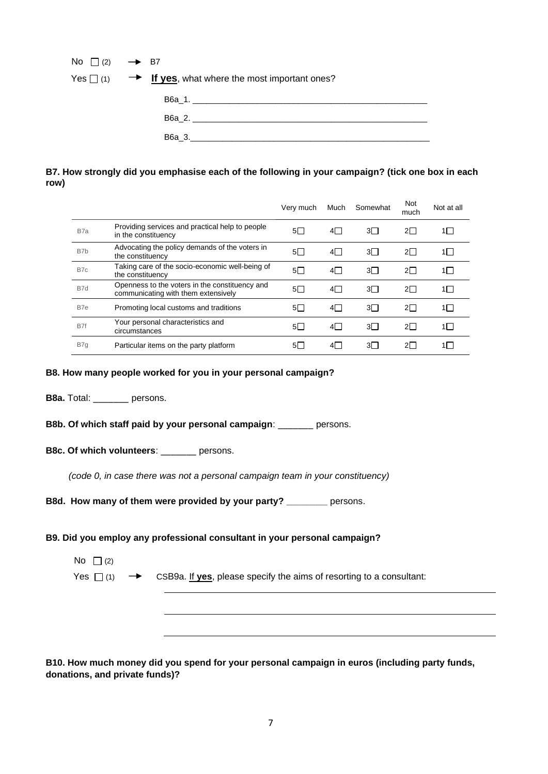| No $\Box$ (2) $\rightarrow$ B7 |                                                                          |
|--------------------------------|--------------------------------------------------------------------------|
|                                | Yes $\Box$ (1) $\rightarrow$ If yes, what where the most important ones? |
|                                |                                                                          |
|                                | В6а 2.                                                                   |
|                                | B6a_3._______________________                                            |

# **B7. How strongly did you emphasise each of the following in your campaign? (tick one box in each row)**

|                  |                                                                                       | Very much | Much | Somewhat | Not<br>much | Not at all |
|------------------|---------------------------------------------------------------------------------------|-----------|------|----------|-------------|------------|
| B <sub>7</sub> a | Providing services and practical help to people<br>in the constituency                | $5\Box$   | 4∏   | $3\Box$  | 21 I        | 1 I        |
| B <sub>7</sub> b | Advocating the policy demands of the voters in<br>the constituency                    | $5\Box$   | 4⊟   | 3Π       | 2 $\Box$    | 1 I        |
| B7c              | Taking care of the socio-economic well-being of<br>the constituency                   | $5\Box$   | 4⊟   | $3\Box$  | $2\Box$     | 1 I        |
| B7d              | Openness to the voters in the constituency and<br>communicating with them extensively | 5Π        | 41 I | $3\Box$  | 21 I        | 1 I        |
| B7e              | Promoting local customs and traditions                                                | $5\Box$   | 4⊟   | 3Π       | $2\Box$     | 1 I        |
| B7f              | Your personal characteristics and<br>circumstances                                    | $5\Box$   | 4⊟   | 3Π       | $2\Box$     | $1\Box$    |
| B7q              | Particular items on the party platform                                                | 5I -      | 41 I | $3\Box$  | 21.         |            |

## **B8. How many people worked for you in your personal campaign?**

**B8a.** Total: \_\_\_\_\_\_\_ persons.

|  |  |  |  |  |  | B8b. Of which staff paid by your personal campaign: | persons. |
|--|--|--|--|--|--|-----------------------------------------------------|----------|
|--|--|--|--|--|--|-----------------------------------------------------|----------|

# **B8c. Of which volunteers**: \_\_\_\_\_\_\_ persons.

 *(code 0, in case there was not a personal campaign team in your constituency)* 

**B8d. How many of them were provided by your party? \_\_\_\_\_\_\_\_** persons.

## **B9. Did you employ any professional consultant in your personal campaign?**

| No $\Box$ (2) |                                                                                                           |
|---------------|-----------------------------------------------------------------------------------------------------------|
|               | Yes $\Box$ (1) $\rightarrow$ CSB9a. If <b>yes</b> , please specify the aims of resorting to a consultant: |

**B10. How much money did you spend for your personal campaign in euros (including party funds, donations, and private funds)?**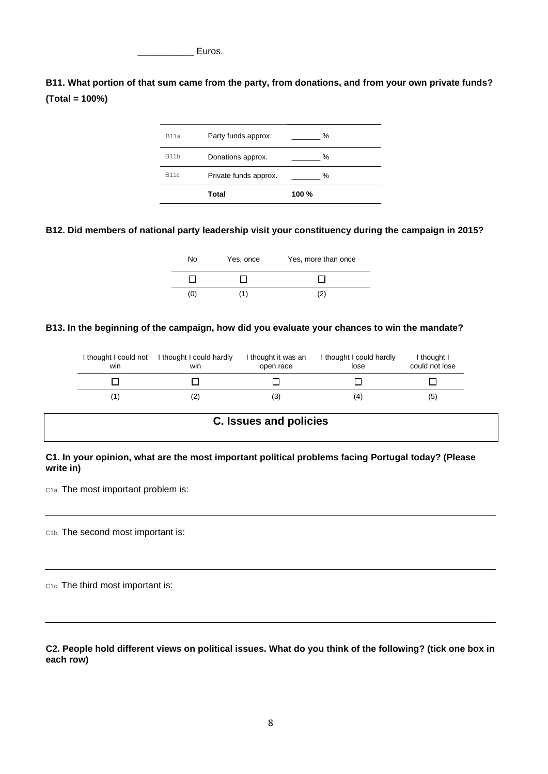Euros.

**B11. What portion of that sum came from the party, from donations, and from your own private funds? (Total = 100%)**



## **B12. Did members of national party leadership visit your constituency during the campaign in 2015?**



### **B13. In the beginning of the campaign, how did you evaluate your chances to win the mandate?**

| I thought I could not<br>win | I thought I could hardly<br>win | I thought it was an<br>open race | I thought I could hardly<br>lose | I thought I<br>could not lose |
|------------------------------|---------------------------------|----------------------------------|----------------------------------|-------------------------------|
|                              |                                 |                                  |                                  |                               |
|                              |                                 | (3)                              | (4)                              | (5)                           |

# **C. Issues and policies**

## **C1. In your opinion, what are the most important political problems facing Portugal today? (Please write in)**

C1a. The most important problem is:

C1b. The second most important is:

C1c. The third most important is:

**C2. People hold different views on political issues. What do you think of the following? (tick one box in each row)**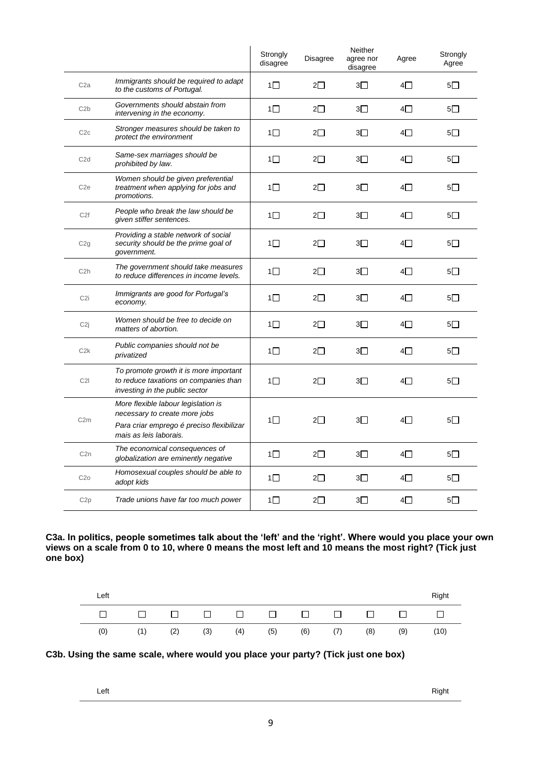|                  |                                                                                                                                             | Strongly<br>disagree | <b>Disagree</b> | Neither<br>agree nor<br>disagree | Agree      | Strongly<br>Agree |
|------------------|---------------------------------------------------------------------------------------------------------------------------------------------|----------------------|-----------------|----------------------------------|------------|-------------------|
| C <sub>2</sub> a | Immigrants should be required to adapt<br>to the customs of Portugal.                                                                       | $1\Box$              | $2\Box$         | $3\square$                       | $4\Box$    | $5\Box$           |
| C2b              | Governments should abstain from<br>intervening in the economy.                                                                              | $1\square$           | $2\square$      | $3\Box$                          | $4\square$ | $5\square$        |
| C2c              | Stronger measures should be taken to<br>protect the environment                                                                             | $1\Box$              | 2□              | 3□                               | 4□         | $5\square$        |
| C <sub>2</sub> d | Same-sex marriages should be<br>prohibited by law.                                                                                          | $1\square$           | 2□              | $3\square$                       | $4\square$ | $5\square$        |
| C <sub>2e</sub>  | Women should be given preferential<br>treatment when applying for jobs and<br>promotions.                                                   | $1\Box$              | $2\Box$         | 3П                               | 4⊟         | $5\Box$           |
| C <sub>2f</sub>  | People who break the law should be<br>given stiffer sentences.                                                                              | 1□                   | 2□              | 3П                               | 4⊟         | $5\Box$           |
| C2g              | Providing a stable network of social<br>security should be the prime goal of<br>government.                                                 | 1□                   | $2\square$      | 3□                               | 4□         | $5\square$        |
| C <sub>2</sub> h | The government should take measures<br>to reduce differences in income levels.                                                              | $1\Box$              | $2\Box$         | $3\Box$                          | $4\Box$    | $5\Box$           |
| C <sub>2i</sub>  | Immigrants are good for Portugal's<br>economy.                                                                                              | 1□                   | $2\Box$         | $3\Box$                          | $4\Box$    | $5\Box$           |
| C <sub>2j</sub>  | Women should be free to decide on<br>matters of abortion.                                                                                   | 1 $\Box$             | $2\Box$         | 3П                               | $4\Box$    | $5\Box$           |
| C2k              | Public companies should not be<br>privatized                                                                                                | 1□                   | 2⊡              | 3⊡                               | 4⊡         | $5\Box$           |
| C2I              | To promote growth it is more important<br>to reduce taxations on companies than<br>investing in the public sector                           | 1 $\Box$             | 2∏              | 3П                               | 4⊟         | $5\Box$           |
| C2m              | More flexible labour legislation is<br>necessary to create more jobs<br>Para criar emprego é preciso flexibilizar<br>mais as leis laborais. | $1\Box$              | $2\Box$         | $3\Box$                          | 4∏         | $5\Box$           |
| C <sub>2n</sub>  | The economical consequences of<br>globalization are eminently negative                                                                      | $1\Box$              | $2\Box$         | $3\Box$                          | $4\square$ | $5\Box$           |
| C2o              | Homosexual couples should be able to<br>adopt kids                                                                                          | 1□                   | $2\square$      | 3⊡                               | 4⊟         | $5\Box$           |
| C <sub>2p</sub>  | Trade unions have far too much power                                                                                                        | $1\Box$              | $2\Box$         | 3 $\Box$                         | $4\square$ | $5\Box$           |

**C3a. In politics, people sometimes talk about the 'left' and the 'right'. Where would you place your own views on a scale from 0 to 10, where 0 means the most left and 10 means the most right? (Tick just one box)**

| Left |                     |     |  |                   |             |     |     | Right |
|------|---------------------|-----|--|-------------------|-------------|-----|-----|-------|
|      | п п п п п п п п п п |     |  |                   |             |     |     |       |
| (0)  | (1)                 | (2) |  | $(3)$ $(4)$ $(5)$ | $(6)$ $(7)$ | (8) | (9) | (10)  |

# **C3b. Using the same scale, where would you place your party? (Tick just one box)**

| I<br>w<br>۰. |
|--------------|
|              |

eft Right Right Right Research and the Right Right Right Right Right Right Right Right Right Right Right Right Right Right Right Right Right Right Right Right Right Right Right Right Right Right Right Right Right Right Rig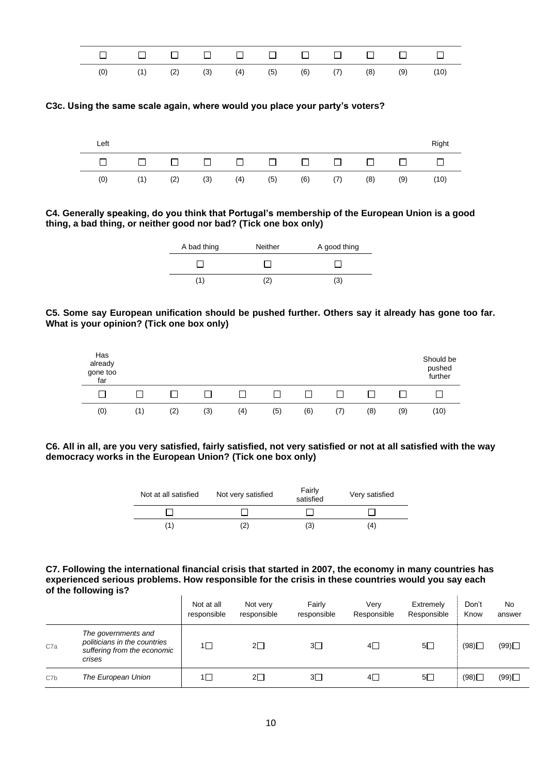

**C3c. Using the same scale again, where would you place your party's voters?**





| A bad thing | Neither | A good thing |
|-------------|---------|--------------|
|             |         |              |
| (1)         | ′2)     | (3)          |





**C6. All in all, are you very satisfied, fairly satisfied, not very satisfied or not at all satisfied with the way democracy works in the European Union? (Tick one box only)**

| Not at all satisfied | Not very satisfied | Fairly<br>satisfied | Very satisfied |
|----------------------|--------------------|---------------------|----------------|
|                      |                    |                     |                |
| (1)                  |                    | (3)                 | (4)            |

#### **C7. Following the international financial crisis that started in 2007, the economy in many countries has experienced serious problems. How responsible for the crisis in these countries would you say each of the following is?**

|     |                                                                                              | Not at all<br>responsible | Not very<br>responsible | Fairly<br>responsible | Verv<br>Responsible | Extremely<br>Responsible | Don't<br>Know | <b>No</b><br>answer |
|-----|----------------------------------------------------------------------------------------------|---------------------------|-------------------------|-----------------------|---------------------|--------------------------|---------------|---------------------|
| C7a | The governments and<br>politicians in the countries<br>suffering from the economic<br>crises | $1\Box$                   | $2\square$              | $3\square$            | $4\Box$             | $5\square$               | (98)          | (99)                |
| C7b | The European Union                                                                           |                           | $2\square$              | $3\square$            | $4\square$          | $5\Box$                  | (98)          | (99)                |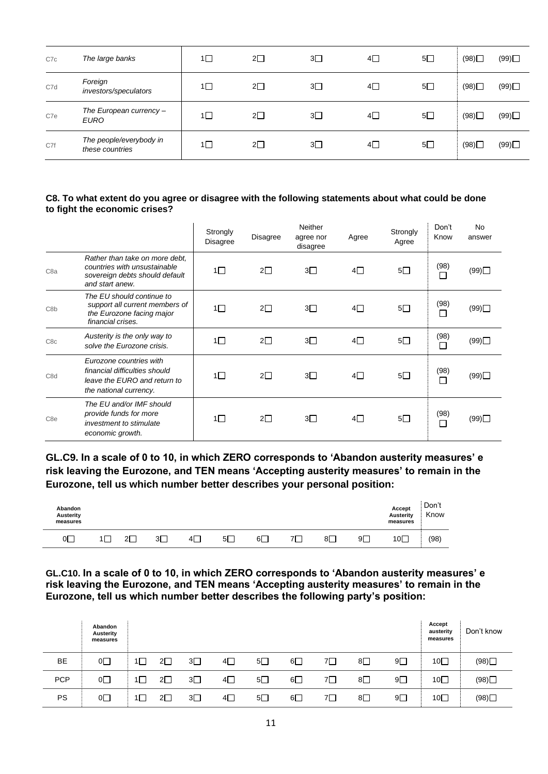| C7c | The large banks                            | 1 $\Box$ | $2\square$ | $3\square$ | $4\square$ | $5\Box$ | (98) | (99)          |
|-----|--------------------------------------------|----------|------------|------------|------------|---------|------|---------------|
| C7d | Foreign<br>investors/speculators           | 1□       | $2\square$ | $3\square$ | $4\square$ | $5\Box$ | (98) | (99)          |
| C7e | The European currency -<br><b>EURO</b>     | 1⊡       | $2\square$ | $3\square$ | $4\square$ | $5\Box$ | (98) | $(99)$ $\Box$ |
| C7f | The people/everybody in<br>these countries | 1 $\Box$ | $2\square$ | $3\square$ | $4\square$ | $5\Box$ | (98) | (99)          |

#### **C8. To what extent do you agree or disagree with the following statements about what could be done to fight the economic crises?**

|                  |                                                                                                                     | Strongly<br><b>Disagree</b> | Disagree   | Neither<br>agree nor<br>disagree | Agree      | Strongly<br>Agree | Don't<br>Know  | <b>No</b><br>answer |
|------------------|---------------------------------------------------------------------------------------------------------------------|-----------------------------|------------|----------------------------------|------------|-------------------|----------------|---------------------|
| C <sub>8a</sub>  | Rather than take on more debt,<br>countries with unsustainable<br>sovereign debts should default<br>and start anew. | $1\Box$                     | $2\square$ | $3\square$                       | $4\Box$    | $5\square$        | (98)<br>□      | (99)                |
| C <sub>8</sub> b | The EU should continue to<br>support all current members of<br>the Eurozone facing major<br>financial crises.       | $1\Box$                     | $2\square$ | $3\square$                       | $4\square$ | $5\square$        | (98)<br>Г      | (99)                |
| C <sub>8c</sub>  | Austerity is the only way to<br>solve the Eurozone crisis.                                                          | $1\Box$                     | $2\square$ | $3\square$                       | $4\Box$    | $5\square$        | (98)<br>□      | (99)                |
| C8d              | Eurozone countries with<br>financial difficulties should<br>leave the EURO and return to<br>the national currency.  | $1\Box$                     | $2\square$ | $3\Box$                          | $4\Box$    | $5\square$        | (98)<br>П      | (99)                |
| C <sub>8e</sub>  | The EU and/or IMF should<br>provide funds for more<br>investment to stimulate<br>economic growth.                   | $1\Box$                     | $2\square$ | $3\square$                       | $4\Box$    | $5\square$        | (98)<br>$\Box$ | (99)                |

**GL.C9. In a scale of 0 to 10, in which ZERO corresponds to 'Abandon austerity measures' e risk leaving the Eurozone, and TEN means 'Accepting austerity measures' to remain in the Eurozone, tell us which number better describes your personal position:** 

| Abandon<br>Austerity<br>measures |             |    |    |     |    |    |    | Accept<br>Austerity<br>measures | Don't<br>Know |
|----------------------------------|-------------|----|----|-----|----|----|----|---------------------------------|---------------|
| _<br>_0                          | Ωľ<br>۔ ساڪ | 3Г | 41 | -5∟ | 6∐ | 81 | 9Γ | $10\square$                     | (98)          |

**GL.C10. In a scale of 0 to 10, in which ZERO corresponds to 'Abandon austerity measures' e risk leaving the Eurozone, and TEN means 'Accepting austerity measures' to remain in the Eurozone, tell us which number better describes the following party's position:** 

|            | Abandon<br>Austerity<br>measures |            |            |            |            |            |    |            |            | Accept<br>austerity<br>measures | Don't know |
|------------|----------------------------------|------------|------------|------------|------------|------------|----|------------|------------|---------------------------------|------------|
| BE         | $^{\circ}$                       | $2\square$ | $3\square$ | 4□         | 5□         | $6\square$ | 7⊡ | 8          | 9□         | 10口                             | (98)       |
| <b>PCP</b> | 0□                               | 2□         | $3\square$ | 4□         | $5\square$ | $6\square$ | 7□ | $8\square$ | $9\Box$    | 10□                             | (98)       |
| PS         | O <sub>1</sub>                   | $2\Box$    | $3\square$ | $4\square$ | $5\square$ | 6□         | 7□ | $8\square$ | $9\square$ | $10\square$                     | (98)       |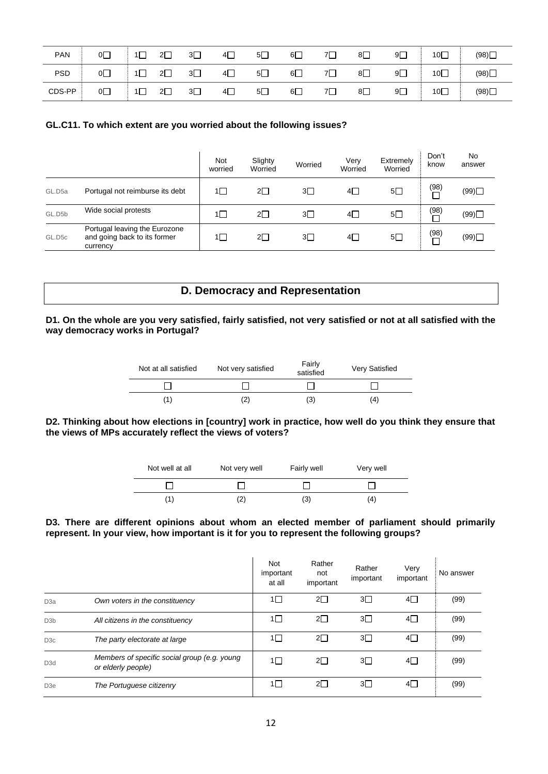| <b>PAN</b> | $0\square$     |          | $2\Box$    | $3\square$ | $4\Box$ | $5\square$ | $6\square$ | $7\square$ | $8\square$ | $9\Box$    | 10口 | (98) |
|------------|----------------|----------|------------|------------|---------|------------|------------|------------|------------|------------|-----|------|
| <b>PSD</b> | O <sub>1</sub> | 1 $\Box$ | $2\square$ | $3\square$ | $4\Box$ | $5\square$ | $6\square$ | $7\Box$    | $8\square$ | $9\square$ | 10  | (98) |
| CDS-PP     | $0\square$     | 1 I      | $2\square$ | $3\square$ | $4\Box$ | $5\Box$    | $6\square$ | $7\square$ | $8\square$ | $9\Box$    | 10口 | (98) |

## **GL.C11. To which extent are you worried about the following issues?**

|                    |                                                                           | Not<br>worried | Slighty<br>Worried | Worried    | Very<br>Worried | Extremely<br>Worried | Don't<br>know              | No<br>answer |
|--------------------|---------------------------------------------------------------------------|----------------|--------------------|------------|-----------------|----------------------|----------------------------|--------------|
| GL.D <sub>5a</sub> | Portugal not reimburse its debt                                           | 1□             | $2\square$         | 3□         | $4\square$      | $5\square$           | (98)                       | (99)         |
| GL.D5b             | Wide social protests                                                      | 1∐             | $2\square$         | 3П         | $4\Box$         | $5\square$           | (98)                       | (99)         |
| GL.D <sub>5c</sub> | Portugal leaving the Eurozone<br>and going back to its former<br>currency | 1∐             | $2\square$         | $3\square$ | 4               | $5\square$           | $\stackrel{(98)}{\square}$ | (99)         |

# **D. Democracy and Representation**

#### **D1. On the whole are you very satisfied, fairly satisfied, not very satisfied or not at all satisfied with the way democracy works in Portugal?**

| Not at all satisfied | Not very satisfied | Fairly<br>satisfied | Very Satisfied |
|----------------------|--------------------|---------------------|----------------|
|                      |                    |                     |                |
|                      |                    | '3.                 | 14             |

#### **D2. Thinking about how elections in [country] work in practice, how well do you think they ensure that the views of MPs accurately reflect the views of voters?**

| Not well at all | Not very well | Fairly well | Very well |
|-----------------|---------------|-------------|-----------|
|                 |               |             |           |
|                 |               | (3)         | 4         |

#### **D3. There are different opinions about whom an elected member of parliament should primarily represent. In your view, how important is it for you to represent the following groups?**

|                  |                                                                    | Not<br>important<br>at all | Rather<br>not<br>important | Rather<br>important | Very<br>important | No answer |
|------------------|--------------------------------------------------------------------|----------------------------|----------------------------|---------------------|-------------------|-----------|
| D <sub>3</sub> a | Own voters in the constituency                                     | 1□                         | $2\square$                 | 3□                  | 4□                | (99)      |
| D <sub>3</sub> b | All citizens in the constituency                                   | 1□                         | $2\Box$                    | $3\Box$             | 4⊟                | (99)      |
| D <sub>3</sub> c | The party electorate at large                                      | $1\Box$                    | $2\square$                 | $3\Box$             | 4□                | (99)      |
| D <sub>3</sub> d | Members of specific social group (e.g. young<br>or elderly people) | 1□                         | $2\square$                 | 3□                  | $4\square$        | (99)      |
| D <sub>3e</sub>  | The Portuguese citizenry                                           | 1□                         | $2\Box$                    | 3□                  | 4⊟                | (99)      |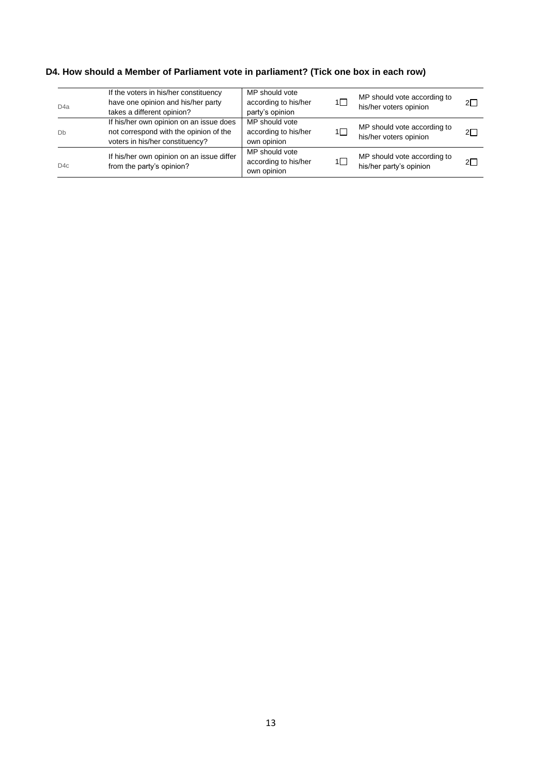# **D4. How should a Member of Parliament vote in parliament? (Tick one box in each row)**

| D <sub>4</sub> a | If the voters in his/her constituency<br>have one opinion and his/her party<br>takes a different opinion?            | MP should vote<br>according to his/her<br>party's opinion | $1\Box$ | MP should vote according to<br>his/her voters opinion  | $2\square$ |
|------------------|----------------------------------------------------------------------------------------------------------------------|-----------------------------------------------------------|---------|--------------------------------------------------------|------------|
| Db               | If his/her own opinion on an issue does<br>not correspond with the opinion of the<br>voters in his/her constituency? | MP should vote<br>according to his/her<br>own opinion     | 1□      | MP should vote according to<br>his/her voters opinion  | $2\Box$    |
| D4c              | If his/her own opinion on an issue differ<br>from the party's opinion?                                               | MP should vote<br>according to his/her<br>own opinion     | $1\Box$ | MP should vote according to<br>his/her party's opinion | $2\Box$    |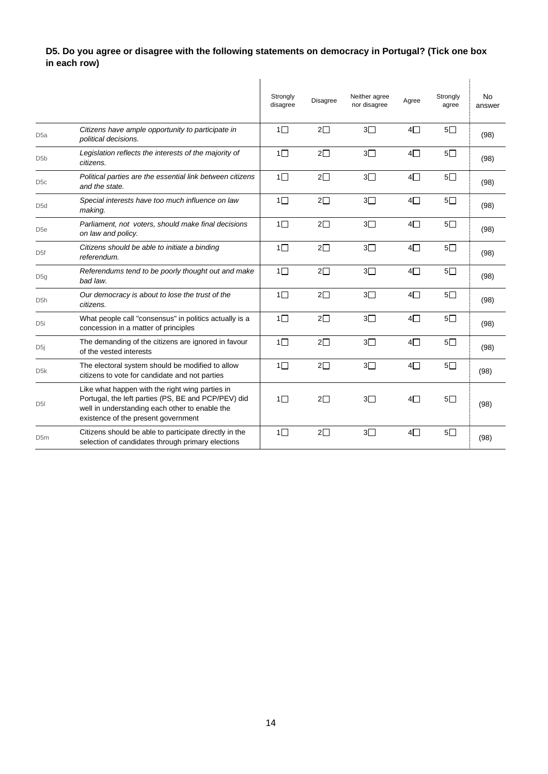# **D5. Do you agree or disagree with the following statements on democracy in Portugal? (Tick one box in each row)**

|                  |                                                                                                                                                                                                 | Strongly<br>disagree | <b>Disagree</b> | Neither agree<br>nor disagree | Agree      | Strongly<br>agree | <b>No</b><br>answer |
|------------------|-------------------------------------------------------------------------------------------------------------------------------------------------------------------------------------------------|----------------------|-----------------|-------------------------------|------------|-------------------|---------------------|
| D <sub>5a</sub>  | Citizens have ample opportunity to participate in<br>political decisions.                                                                                                                       | $1\Box$              | $2\square$      | 3 <sub>1</sub>                | $4\Box$    | 5 <sub>1</sub>    | (98)                |
| D <sub>5</sub> b | Legislation reflects the interests of the majority of<br>citizens.                                                                                                                              | $1\Box$              | $2\Box$         | 3 <sup>7</sup>                | $4\Box$    | $5\Box$           | (98)                |
| D <sub>5</sub> c | Political parties are the essential link between citizens<br>and the state.                                                                                                                     | $1\Box$              | $2\Box$         | 3 <sub>1</sub>                | $4\Box$    | 5 <sub>1</sub>    | (98)                |
| D <sub>5</sub> d | Special interests have too much influence on law<br>making.                                                                                                                                     | $1\Box$              | $2\square$      | $3\Box$                       | $4\Box$    | $5\square$        | (98)                |
| D <sub>5e</sub>  | Parliament, not voters, should make final decisions<br>on law and policy.                                                                                                                       | $1\Box$              | $2\square$      | $3\square$                    | $4\square$ | $5\square$        | (98)                |
| D <sub>5f</sub>  | Citizens should be able to initiate a binding<br>referendum.                                                                                                                                    | $1\square$           | $2\square$      | $3\square$                    | $4\square$ | $5\square$        | (98)                |
| D5g              | Referendums tend to be poorly thought out and make<br>bad law.                                                                                                                                  | $1\square$           | $2\square$      | $3\square$                    | $4\square$ | $5\square$        | (98)                |
| D <sub>5</sub> h | Our democracy is about to lose the trust of the<br>citizens.                                                                                                                                    | $1\square$           | $2\square$      | $3\square$                    | $4\Box$    | $5\square$        | (98)                |
| D <sub>5i</sub>  | What people call "consensus" in politics actually is a<br>concession in a matter of principles                                                                                                  | $1\Box$              | $2\square$      | $3\square$                    | $4\Box$    | $5\square$        | (98)                |
| D5j              | The demanding of the citizens are ignored in favour<br>of the vested interests                                                                                                                  | $1\Box$              | $2\square$      | 3 <sup>7</sup>                | $4\Box$    | $5\square$        | (98)                |
| D <sub>5</sub> k | The electoral system should be modified to allow<br>citizens to vote for candidate and not parties                                                                                              | $1\Box$              | $2\square$      | $3\Box$                       | $4\Box$    | 5 <sub>1</sub>    | (98)                |
| D <sub>5</sub>   | Like what happen with the right wing parties in<br>Portugal, the left parties (PS, BE and PCP/PEV) did<br>well in understanding each other to enable the<br>existence of the present government | $1\Box$              | $2\square$      | $3\Box$                       | $4\Box$    | $5\Box$           | (98)                |
| D <sub>5m</sub>  | Citizens should be able to participate directly in the<br>selection of candidates through primary elections                                                                                     | $1\Box$              | $2\Box$         | 3 <sub>1</sub>                | $4\Box$    | 5 <sub>1</sub>    | (98)                |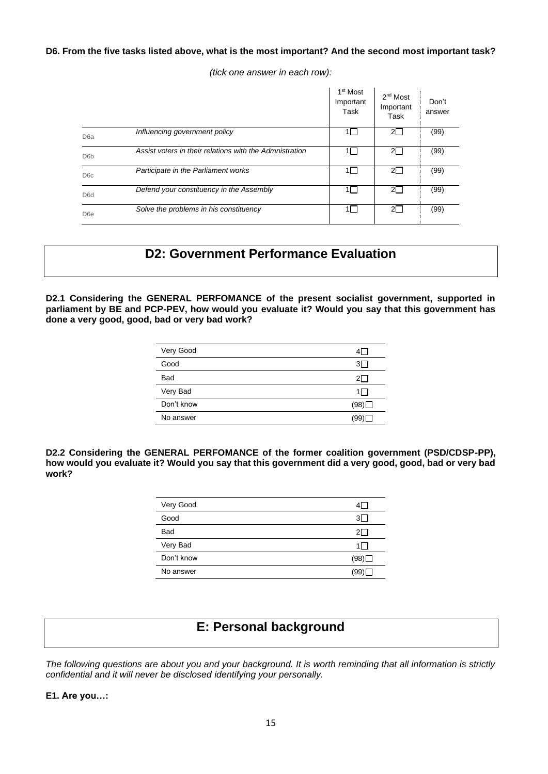## **D6. From the five tasks listed above, what is the most important? And the second most important task?**

*(tick one answer in each row):*

|                  |                                                         | 1 <sup>st</sup> Most<br>Important<br>Task | 2 <sup>nd</sup> Most<br>Important<br>Task | Don't<br>answer |
|------------------|---------------------------------------------------------|-------------------------------------------|-------------------------------------------|-----------------|
| D <sub>6</sub> a | Influencing government policy                           |                                           | $2\Box$                                   | (99)            |
| D <sub>6</sub> b | Assist voters in their relations with the Admnistration |                                           | $2\Box$                                   | (99)            |
| D <sub>6</sub> c | Participate in the Parliament works                     |                                           | $2\square$                                | (99)            |
| D <sub>6</sub> d | Defend your constituency in the Assembly                |                                           | $2\Box$                                   | (99)            |
| D <sub>6e</sub>  | Solve the problems in his constituency                  | 11 I                                      | $2\Box$                                   | (99)            |

# **D2: Government Performance Evaluation**

**D2.1 Considering the GENERAL PERFOMANCE of the present socialist government, supported in**  parliament by BE and PCP-PEV, how would you evaluate it? Would you say that this government has **done a very good, good, bad or very bad work?**

| Very Good  |      |
|------------|------|
| Good       | 3I - |
| <b>Bad</b> |      |
| Very Bad   |      |
| Don't know | (98) |
| No answer  | (99) |

**D2.2 Considering the GENERAL PERFOMANCE of the former coalition government (PSD/CDSP-PP), how would you evaluate it? Would you say that this government did a very good, good, bad or very bad work?**

| Very Good  |       |
|------------|-------|
| Good       |       |
| <b>Bad</b> |       |
| Very Bad   | 1 I   |
| Don't know | (98)∐ |
| No answer  | '99   |

# **E: Personal background**

*The following questions are about you and your background. It is worth reminding that all information is strictly confidential and it will never be disclosed identifying your personally.*

**E1. Are you…:**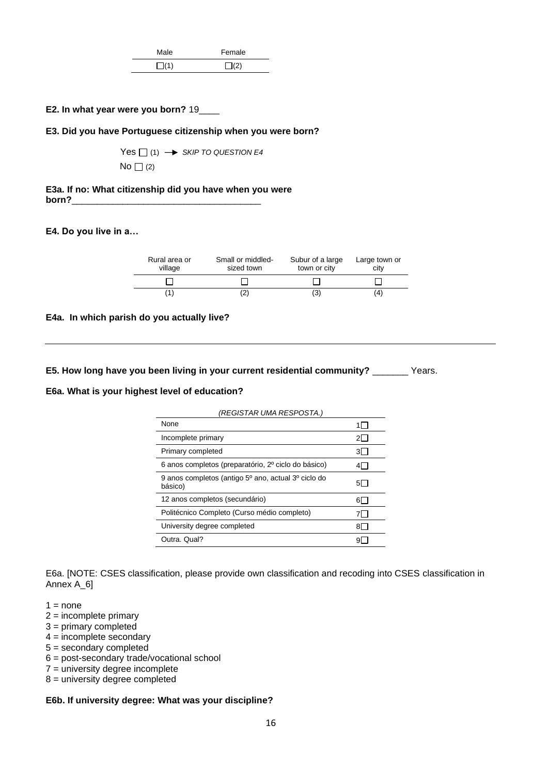| Male       | Female    |
|------------|-----------|
| $\Box$ (1) | $\Box(2)$ |

#### **E2. In what year were you born?** 19\_\_\_\_

#### **E3. Did you have Portuguese citizenship when you were born?**

 $Yes \Box(1) \rightarrow SkIP TO QUESTION E4$  $No \bigcap (2)$ 

**E3a. If no: What citizenship did you have when you were born?**\_\_\_\_\_\_\_\_\_\_\_\_\_\_\_\_\_\_\_\_\_\_\_\_\_\_\_\_\_\_\_\_\_\_\_\_\_

#### **E4. Do you live in a…**

| Rural area or<br>village | Small or middled-<br>sized town | Subur of a large<br>town or city | Large town or<br>city |
|--------------------------|---------------------------------|----------------------------------|-----------------------|
|                          |                                 |                                  |                       |
|                          | ∠                               | (3)                              | (4                    |

#### **E4a. In which parish do you actually live?**

**E5. How long have you been living in your current residential community?** \_\_\_\_\_\_\_ Years.

#### **E6a. What is your highest level of education?**

| (REGISTAR UMA RESPOSTA.)                                       |      |
|----------------------------------------------------------------|------|
| None                                                           |      |
| Incomplete primary                                             | 21.  |
| Primary completed                                              | 31 I |
| 6 anos completos (preparatório, 2º ciclo do básico)            |      |
| 9 anos completos (antigo 5º ano, actual 3º ciclo do<br>básico) | 5I.  |
| 12 anos completos (secundário)                                 | 61.  |
| Politécnico Completo (Curso médio completo)                    |      |
| University degree completed                                    | 81   |
| Outra, Qual?                                                   |      |

E6a. [NOTE: CSES classification, please provide own classification and recoding into CSES classification in Annex A\_6]

- $1 = none$
- 2 = incomplete primary
- 3 = primary completed
- 4 = incomplete secondary
- 5 = secondary completed
- 6 = post-secondary trade/vocational school
- 7 = university degree incomplete
- 8 = university degree completed

## **E6b. If university degree: What was your discipline?**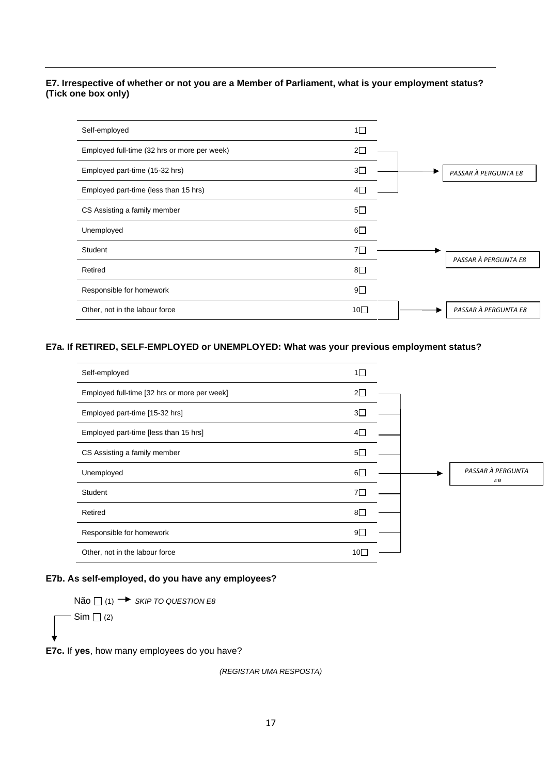## **E7. Irrespective of whether or not you are a Member of Parliament, what is your employment status? (Tick one box only)**

| Self-employed                                | $1\square$   |                      |
|----------------------------------------------|--------------|----------------------|
| Employed full-time (32 hrs or more per week) | $2\square$   |                      |
| Employed part-time (15-32 hrs)               | $3\square$   | PASSAR À PERGUNTA E8 |
| Employed part-time (less than 15 hrs)        | 4Γ           |                      |
| CS Assisting a family member                 | $5\square$   |                      |
| Unemployed                                   | $6\square$   |                      |
| Student                                      | 7Γ           | PASSAR À PERGUNTA E8 |
| Retired                                      | $8\square$   |                      |
| Responsible for homework                     | $9\square$   |                      |
| Other, not in the labour force               | 10 $\square$ | PASSAR À PERGUNTA E8 |

## **E7a. If RETIRED, SELF-EMPLOYED or UNEMPLOYED: What was your previous employment status?**



#### **E7b. As self-employed, do you have any employees?**

 $N$ ão  $\Box$  (1)  $\rightarrow$  *SKIP TO QUESTION E8*  $Sim \Box$  (2)

**E7c.** If **yes**, how many employees do you have?

*(REGISTAR UMA RESPOSTA)*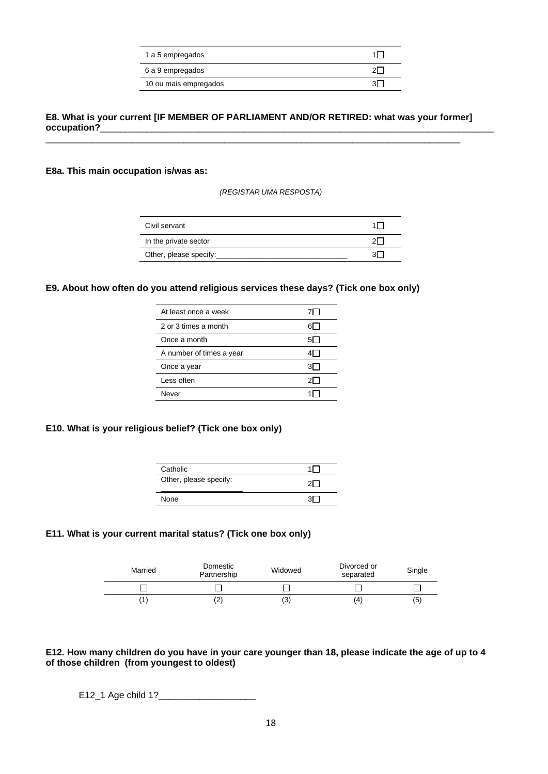| 1 a 5 empregados      |  |
|-----------------------|--|
| 6 a 9 empregados      |  |
| 10 ou mais empregados |  |

### **E8. What is your current [IF MEMBER OF PARLIAMENT AND/OR RETIRED: what was your former] occupation?**

\_\_\_\_\_\_\_\_\_\_\_\_\_\_\_\_\_\_\_\_\_\_\_\_\_\_\_\_\_\_\_\_\_\_\_\_\_\_\_\_\_\_\_\_\_\_\_\_\_\_\_\_\_\_\_\_\_\_\_\_\_\_\_\_\_\_\_\_\_\_\_\_\_\_\_\_\_\_\_\_\_

### **E8a. This main occupation is/was as:**

*(REGISTAR UMA RESPOSTA)*

| Civil servant          |  |
|------------------------|--|
| In the private sector  |  |
| Other, please specify: |  |

### **E9. About how often do you attend religious services these days? (Tick one box only)**

| At least once a week     |     |
|--------------------------|-----|
| 2 or 3 times a month     |     |
| Once a month             |     |
| A number of times a year |     |
| Once a year              | 3L. |
| Less often               |     |
| Never                    |     |

## **E10. What is your religious belief? (Tick one box only)**

| Catholic               |  |
|------------------------|--|
| Other, please specify: |  |
| None                   |  |

## **E11. What is your current marital status? (Tick one box only)**

| Married | Domestic<br>Partnership | Widowed | Divorced or<br>separated | Single |
|---------|-------------------------|---------|--------------------------|--------|
|         |                         |         |                          |        |
|         | LZ.                     | (3      | (4                       | (5)    |

#### **E12. How many children do you have in your care younger than 18, please indicate the age of up to 4 of those children (from youngest to oldest)**

E12\_1 Age child 1?\_\_\_\_\_\_\_\_\_\_\_\_\_\_\_\_\_\_\_\_\_\_\_